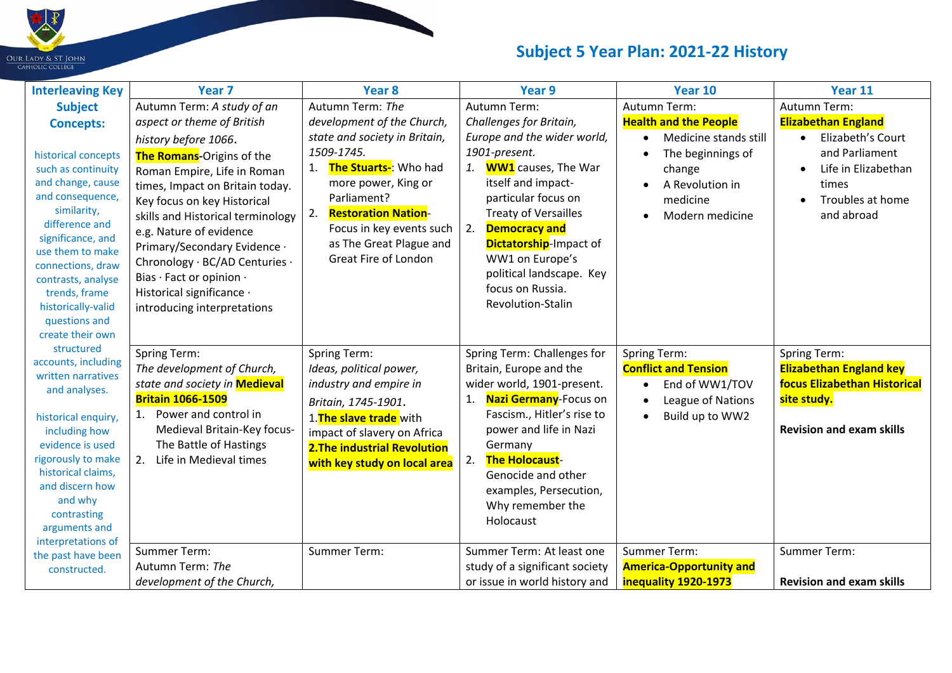

## **Subject 5 Year Plan: 2021-22 History**

| <b>Interleaving Key</b>                                                                                                                                                                                                                                                                                                   | Year <sub>7</sub>                                                                                                                                                                                                                                                                                                                                                                                                                        | Year 8                                                                                                                                                                                                                                                                                       | Year 9                                                                                                                                                                                                                                                                                                                                        | Year 10                                                                                                                                                             | Year 11                                                                                                                                                          |
|---------------------------------------------------------------------------------------------------------------------------------------------------------------------------------------------------------------------------------------------------------------------------------------------------------------------------|------------------------------------------------------------------------------------------------------------------------------------------------------------------------------------------------------------------------------------------------------------------------------------------------------------------------------------------------------------------------------------------------------------------------------------------|----------------------------------------------------------------------------------------------------------------------------------------------------------------------------------------------------------------------------------------------------------------------------------------------|-----------------------------------------------------------------------------------------------------------------------------------------------------------------------------------------------------------------------------------------------------------------------------------------------------------------------------------------------|---------------------------------------------------------------------------------------------------------------------------------------------------------------------|------------------------------------------------------------------------------------------------------------------------------------------------------------------|
| <b>Subject</b><br><b>Concepts:</b><br>historical concepts<br>such as continuity<br>and change, cause<br>and consequence,<br>similarity,<br>difference and<br>significance, and<br>use them to make<br>connections, draw<br>contrasts, analyse<br>trends, frame<br>historically-valid<br>questions and<br>create their own | Autumn Term: A study of an<br>aspect or theme of British<br>history before 1066.<br>The Romans-Origins of the<br>Roman Empire, Life in Roman<br>times, Impact on Britain today.<br>Key focus on key Historical<br>skills and Historical terminology<br>e.g. Nature of evidence<br>Primary/Secondary Evidence ·<br>Chronology · BC/AD Centuries ·<br>Bias · Fact or opinion ·<br>Historical significance ·<br>introducing interpretations | Autumn Term: The<br>development of the Church,<br>state and society in Britain,<br>1509-1745.<br>The Stuarts-: Who had<br>1.<br>more power, King or<br>Parliament?<br><b>Restoration Nation-</b><br>2.<br>Focus in key events such<br>as The Great Plague and<br><b>Great Fire of London</b> | Autumn Term:<br>Challenges for Britain,<br>Europe and the wider world,<br>1901-present.<br>1. WW1 causes, The War<br>itself and impact-<br>particular focus on<br><b>Treaty of Versailles</b><br><b>Democracy and</b><br>2.<br>Dictatorship-Impact of<br>WW1 on Europe's<br>political landscape. Key<br>focus on Russia.<br>Revolution-Stalin | Autumn Term:<br><b>Health and the People</b><br>Medicine stands still<br>$\bullet$<br>The beginnings of<br>change<br>A Revolution in<br>medicine<br>Modern medicine | Autumn Term:<br><b>Elizabethan England</b><br>Elizabeth's Court<br>$\bullet$<br>and Parliament<br>Life in Elizabethan<br>times<br>Troubles at home<br>and abroad |
| structured<br>accounts, including<br>written narratives<br>and analyses.<br>historical enquiry,<br>including how<br>evidence is used<br>rigorously to make<br>historical claims,<br>and discern how<br>and why<br>contrasting<br>arguments and<br>interpretations of                                                      | <b>Spring Term:</b><br>The development of Church,<br>state and society in Medieval<br><b>Britain 1066-1509</b><br>Power and control in<br>1.<br>Medieval Britain-Key focus-<br>The Battle of Hastings<br>Life in Medieval times<br>2.                                                                                                                                                                                                    | Spring Term:<br>Ideas, political power,<br>industry and empire in<br>Britain, 1745-1901.<br>1. The slave trade with<br>impact of slavery on Africa<br><b>2. The industrial Revolution</b><br>with key study on local area                                                                    | Spring Term: Challenges for<br>Britain, Europe and the<br>wider world, 1901-present.<br>1. Nazi Germany-Focus on<br>Fascism., Hitler's rise to<br>power and life in Nazi<br>Germany<br><b>The Holocaust-</b><br>2.<br>Genocide and other<br>examples, Persecution,<br>Why remember the<br>Holocaust                                           | <b>Spring Term:</b><br><b>Conflict and Tension</b><br>End of WW1/TOV<br>$\bullet$<br>League of Nations<br>Build up to WW2                                           | <b>Spring Term:</b><br><b>Elizabethan England key</b><br>focus Elizabethan Historical<br>site study.<br><b>Revision and exam skills</b>                          |
| the past have been<br>constructed.                                                                                                                                                                                                                                                                                        | Summer Term:<br>Autumn Term: The<br>development of the Church,                                                                                                                                                                                                                                                                                                                                                                           | Summer Term:                                                                                                                                                                                                                                                                                 | Summer Term: At least one<br>Summer Term:<br>study of a significant society<br><b>America-Opportunity and</b><br>inequality 1920-1973<br>or issue in world history and                                                                                                                                                                        |                                                                                                                                                                     | Summer Term:<br><b>Revision and exam skills</b>                                                                                                                  |